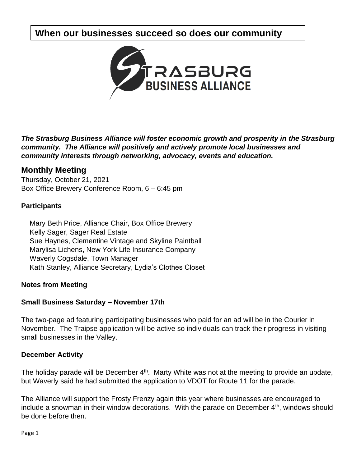# **When our businesses succeed so does our community**



*The Strasburg Business Alliance will foster economic growth and prosperity in the Strasburg community. The Alliance will positively and actively promote local businesses and community interests through networking, advocacy, events and education.*

# **Monthly Meeting**

Thursday, October 21, 2021 Box Office Brewery Conference Room, 6 – 6:45 pm

# **Participants**

Mary Beth Price, Alliance Chair, Box Office Brewery Kelly Sager, Sager Real Estate Sue Haynes, Clementine Vintage and Skyline Paintball Marylisa Lichens, New York Life Insurance Company Waverly Cogsdale, Town Manager Kath Stanley, Alliance Secretary, Lydia's Clothes Closet

### **Notes from Meeting**

# **Small Business Saturday – November 17th**

The two-page ad featuring participating businesses who paid for an ad will be in the Courier in November. The Traipse application will be active so individuals can track their progress in visiting small businesses in the Valley.

### **December Activity**

The holiday parade will be December  $4<sup>th</sup>$ . Marty White was not at the meeting to provide an update, but Waverly said he had submitted the application to VDOT for Route 11 for the parade.

The Alliance will support the Frosty Frenzy again this year where businesses are encouraged to include a snowman in their window decorations. With the parade on December  $4<sup>th</sup>$ , windows should be done before then.

Page 1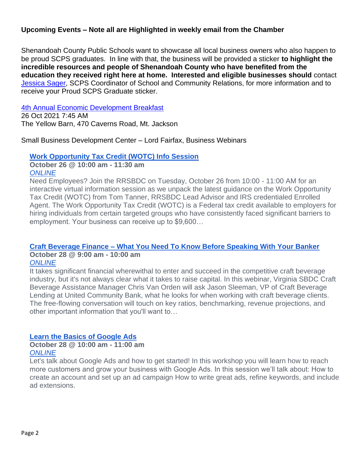## **Upcoming Events – Note all are Highlighted in weekly email from the Chamber**

Shenandoah County Public Schools want to showcase all local business owners who also happen to be proud SCPS graduates. In line with that, the business will be provided a sticker **to highlight the incredible resources and people of Shenandoah County who have benefited from the education they received right here at home. Interested and eligible businesses should** contact [Jessica Sager,](mailto:jasager@shenandoah.k12.va.us) SCPS Coordinator of School and Community Relations, for more information and to receive your Proud SCPS Graduate sticker.

### [4th Annual Economic Development Breakfast](http://shenandoahcountychamberofcommerce.wildapricot.org/event-4473447)

26 Oct 2021 7:45 AM The Yellow Barn, 470 Caverns Road, Mt. Jackson

### Small Business Development Center – Lord Fairfax, Business Webinars

### **[Work Opportunity Tax Credit \(WOTC\) Info Session](https://lfsbdc.org/event/work-opportunity-tax-credit-wotc-info-session/)**

**October 26 @ 10:00 am - 11:30 am** *[ONLINE](https://lfsbdc.org/venue/online/)*

Need Employees? Join the RRSBDC on Tuesday, October 26 from 10:00 - 11:00 AM for an interactive virtual information session as we unpack the latest guidance on the Work Opportunity Tax Credit (WOTC) from Tom Tanner, RRSBDC Lead Advisor and IRS credentialed Enrolled Agent. The Work Opportunity Tax Credit (WOTC) is a Federal tax credit available to employers for hiring individuals from certain targeted groups who have consistently faced significant barriers to employment. Your business can receive up to \$9,600…

# **Craft Beverage Finance – [What You Need To Know Before Speaking With Your Banker](https://lfsbdc.org/event/craft-beverage-finance-what-you-need-to-know-before-speaking-with-your-banker/)**

#### **October 28 @ 9:00 am - 10:00 am** *[ONLINE](https://lfsbdc.org/venue/online/)*

It takes significant financial wherewithal to enter and succeed in the competitive craft beverage industry, but it's not always clear what it takes to raise capital. In this webinar, Virginia SBDC Craft Beverage Assistance Manager Chris Van Orden will ask Jason Sleeman, VP of Craft Beverage Lending at United Community Bank, what he looks for when working with craft beverage clients. The free-flowing conversation will touch on key ratios, benchmarking, revenue projections, and other important information that you'll want to…

### **[Learn the Basics of Google Ads](https://lfsbdc.org/event/learn-the-basics-of-google-ads/)**

### **October 28 @ 10:00 am - 11:00 am** *[ONLINE](https://lfsbdc.org/venue/online/)*

Let's talk about Google Ads and how to get started! In this workshop you will learn how to reach more customers and grow your business with Google Ads. In this session we'll talk about: How to create an account and set up an ad campaign How to write great ads, refine keywords, and include ad extensions.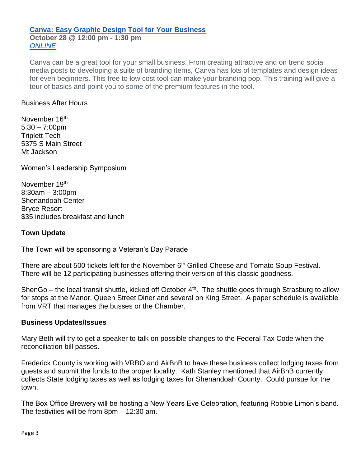### **[Canva: Easy Graphic Design Tool for Your Business](https://lfsbdc.org/event/canva-easy-graphic-design-tool-for-your-business/) October 28 @ 12:00 pm - 1:30 pm** *[ONLINE](https://lfsbdc.org/venue/online/)*

Canva can be a great tool for your small business. From creating attractive and on trend social media posts to developing a suite of branding items, Canva has lots of templates and design ideas for even beginners. This free to low cost tool can make your branding pop. This training will give a tour of basics and point you to some of the premium features in the tool.

### Business After Hours

November 16<sup>th</sup>  $5:30 - 7:00$ pm Triplett Tech 5375 S Main Street Mt Jackson

Women's Leadership Symposium

November 19th 8:30am – 3:00pm Shenandoah Center Bryce Resort \$35 includes breakfast and lunch

### **Town Update**

The Town will be sponsoring a Veteran's Day Parade

There are about 500 tickets left for the November 6<sup>th</sup> Grilled Cheese and Tomato Soup Festival. There will be 12 participating businesses offering their version of this classic goodness.

ShenGo – the local transit shuttle, kicked off October  $4<sup>th</sup>$ . The shuttle goes through Strasburg to allow for stops at the Manor, Queen Street Diner and several on King Street. A paper schedule is available from VRT that manages the busses or the Chamber.

### **Business Updates/Issues**

Mary Beth will try to get a speaker to talk on possible changes to the Federal Tax Code when the reconciliation bill passes.

Frederick County is working with VRBO and AirBnB to have these business collect lodging taxes from guests and submit the funds to the proper locality. Kath Stanley mentioned that AirBnB currently collects State lodging taxes as well as lodging taxes for Shenandoah County. Could pursue for the town.

The Box Office Brewery will be hosting a New Years Eve Celebration, featuring Robbie Limon's band. The festivities will be from 8pm – 12:30 am.